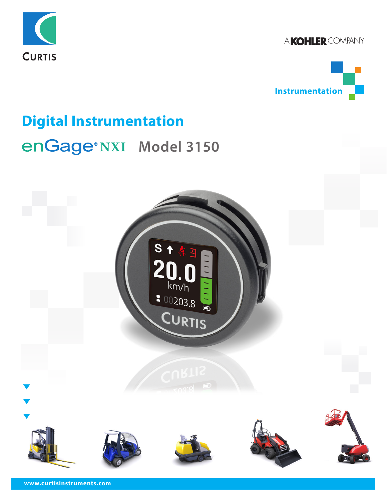

A KOHLER COMPANY



# **Digital Instrumentation enGage®NXI Model 3150**

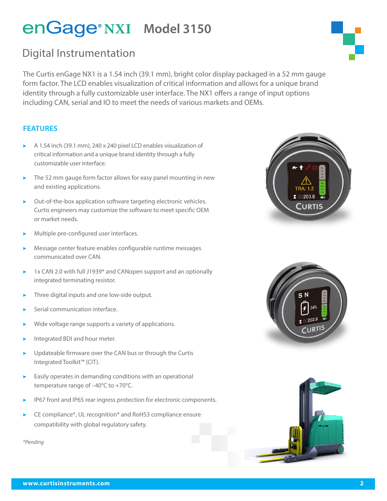### Digital Instrumentation

The Curtis enGage NX1 is a 1.54 inch (39.1 mm), bright color display packaged in a 52 mm gauge form factor. The LCD enables visualization of critical information and allows for a unique brand identity through a fully customizable user interface. The NX1 offers a range of input options including CAN, serial and IO to meet the needs of various markets and OEMs.

#### **FEATURES**

- ▶ A 1.54 inch (39.1 mm), 240 x 240 pixel LCD enables visualization of critical information and a unique brand identity through a fully customizable user interface.
- $\blacktriangleright$  The 52 mm gauge form factor allows for easy panel mounting in new and existing applications.
- Out-of-the-box application software targeting electronic vehicles. Curtis engineers may customize the software to meet specific OEM or market needs.
- Multiple pre-configured user interfaces.
- Message center feature enables configurable runtime messages communicated over CAN.
- 1x CAN 2.0 with full J1939\* and CANopen support and an optionally integrated terminating resistor.
- Three digital inputs and one low-side output.
- Serial communication interface.
- Wide voltage range supports a variety of applications.
- Integrated BDI and hour meter.
- Updateable firmware over the CAN bus or through the Curtis Integrated Toolkit™ (CIT).
- $\blacktriangleright$  Easily operates in demanding conditions with an operational temperature range of –40°C to +70°C.
- IP67 front and IP65 rear ingress protection for electronic components.
- CE compliance\*, UL recognition\* and RoHS3 compliance ensure compatibility with global regulatory safety.

*\*Pending*







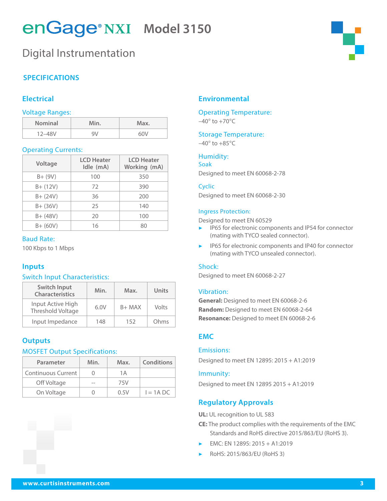### Digital Instrumentation

#### **SPECIFICATIONS**

#### **Electrical**

#### Voltage Ranges:

| <b>Nominal</b> | Min. | Max. |
|----------------|------|------|
| $12 - 48V$     | 9١   | 60V  |

#### Operating Currents:

| Voltage     | <b>LCD Heater</b><br>Idle (mA) | <b>LCD Heater</b><br>Working (mA) |
|-------------|--------------------------------|-----------------------------------|
| $B+ (9V)$   | 100                            | 350                               |
| $B + (12V)$ | 72                             | 390                               |
| $B + (24V)$ | 36                             | 200                               |
| $B + (36V)$ | 25                             | 140                               |
| $B + (48V)$ | 20                             | 100                               |
| $B + (60V)$ | 16                             | 80                                |

#### Baud Rate:

100 Kbps to 1 Mbps

#### **Inputs**

#### Switch Input Characteristics:

| Switch Input<br><b>Characteristics</b> | Min. | Max.     | Units |
|----------------------------------------|------|----------|-------|
| Input Active High<br>Threshold Voltage | 6.0V | $B+$ MAX | Volts |
| Input Impedance                        | 148  | 152      | Ohms  |

#### **Outputs**

#### MOSFET Output Specifications:

| Parameter          | Min. | Max. | <b>Conditions</b> |
|--------------------|------|------|-------------------|
| Continuous Current |      | 1Α   |                   |
| Off Voltage        |      | 75V  |                   |
| On Voltage         |      | 0.5V | $I = 1A$ DC       |

#### **Environmental**

#### Operating Temperature:  $-40^\circ$  to  $+70^\circ C$

#### Storage Temperature:

 $-40^\circ$  to  $+85^\circ C$ 

#### Humidity: Soak

Designed to meet EN 60068-2-78

#### Cyclic

Designed to meet EN 60068-2-30

#### Ingress Protection:

Designed to meet EN 60529

- ▶ IP65 for electronic components and IP54 for connector (mating with TYCO sealed connector).
- IP65 for electronic components and IP40 for connector (mating with TYCO unsealed connector).

#### Shock:

Designed to meet EN 60068-2-27

#### Vibration:

**General:** Designed to meet EN 60068-2-6 **Random:** Designed to meet EN 60068-2-64 **Resonance:** Designed to meet EN 60068-2-6

#### **EMC**

#### Emissions:

Designed to meet EN 12895: 2015 + A1:2019

#### Immunity:

Designed to meet EN 12895 2015 + A1:2019

#### **Regulatory Approvals**

**UL:** UL recognition to UL 583

- **CE:** The product complies with the requirements of the EMC Standards and RoHS directive 2015/863/EU (RoHS 3).
- ▶ EMC: EN 12895: 2015 + A1:2019
- ▶ RoHS: 2015/863/EU (RoHS 3)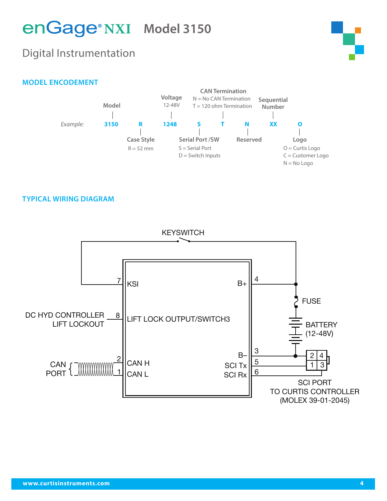### Digital Instrumentation



#### **MODEL ENCODEMENT**



#### **TYPICAL WIRING DIAGRAM**

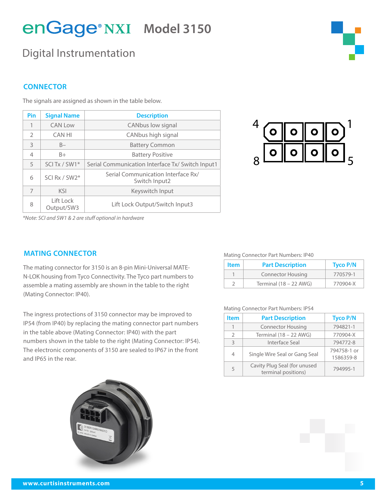### Digital Instrumentation

#### **CONNECTOR**

| Pin           | <b>Signal Name</b>                                        | <b>Description</b>                                  |  |
|---------------|-----------------------------------------------------------|-----------------------------------------------------|--|
| 1             | <b>CAN Low</b>                                            | CANbus low signal                                   |  |
| $\mathcal{P}$ | <b>CAN HI</b>                                             | CANbus high signal                                  |  |
| 3             | $B -$                                                     | <b>Battery Common</b>                               |  |
| 4             | $B+$                                                      | <b>Battery Positive</b>                             |  |
| 5             | SCI Tx / SW1*                                             | Serial Communication Interface Tx/ Switch Input1    |  |
| 6             | SCI Rx / SW2*                                             | Serial Communication Interface Rx/<br>Switch Input2 |  |
| 7             | <b>KSI</b>                                                | Keyswitch Input                                     |  |
| 8             | Lift Lock<br>Lift Lock Output/Switch Input3<br>Output/SW3 |                                                     |  |

The signals are assigned as shown in the table below.



*\*Note: SCI and SW1 & 2 are stuff optional in hardware*

#### **MATING CONNECTOR**

The mating connector for 3150 is an 8-pin Mini-Universal MATE-N-LOK housing from Tyco Connectivity. The Tyco part numbers to assemble a mating assembly are shown in the table to the right (Mating Connector: IP40).

The ingress protections of 3150 connector may be improved to IP54 (from IP40) by replacing the mating connector part numbers in the table above (Mating Connector: IP40) with the part numbers shown in the table to the right (Mating Connector: IP54). The electronic components of 3150 are sealed to IP67 in the front and IP65 in the rear.



#### Mating Connector Part Numbers: IP40

| <b>Item</b> | <b>Part Description</b>  | <b>Tyco P/N</b> |
|-------------|--------------------------|-----------------|
|             | <b>Connector Housing</b> | 770579-1        |
|             | Terminal $(18 - 22$ AWG) | 770904-X        |

#### Mating Connector Part Numbers: IP54

| <b>Item</b>    | <b>Part Description</b>                             | <b>Tyco P/N</b>          |
|----------------|-----------------------------------------------------|--------------------------|
|                | <b>Connector Housing</b>                            | 794821-1                 |
| $\mathcal{P}$  | Terminal $(18 - 22$ AWG)                            | 770904-X                 |
| $\mathcal{E}$  | Interface Seal                                      | 794772-8                 |
| $\overline{4}$ | Single Wire Seal or Gang Seal                       | 794758-1 or<br>1586359-8 |
| 5              | Cavity Plug Seal (for unused<br>terminal positions) | 794995-1                 |